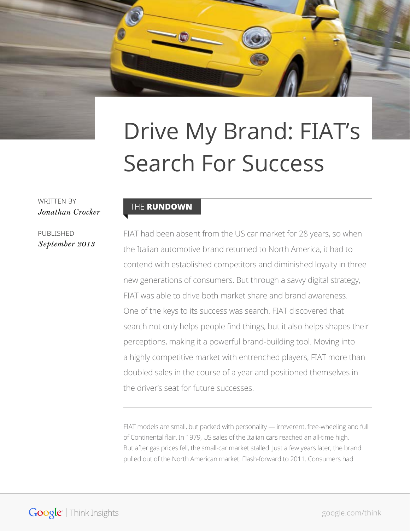# Drive My Brand: FIAT's Search For Success

WRITTEN BY *Jonathan Crocker*

PUBLISHED *September 2013*

#### THE RUNDOWN

FIAT had been absent from the US car market for 28 years, so when the Italian automotive brand returned to North America, it had to contend with established competitors and diminished loyalty in three new generations of consumers. But through a savvy digital strategy, FIAT was able to drive both market share and brand awareness. One of the keys to its success was search. FIAT discovered that search not only helps people find things, but it also helps shapes their perceptions, making it a powerful brand-building tool. Moving into a highly competitive market with entrenched players, FIAT more than doubled sales in the course of a year and positioned themselves in the driver's seat for future successes.

FIAT models are small, but packed with personality — irreverent, free-wheeling and full of Continental flair. In 1979, US sales of the Italian cars reached an all-time high. But after gas prices fell, the small-car market stalled. Just a few years later, the brand pulled out of the North American market. Flash-forward to 2011. Consumers had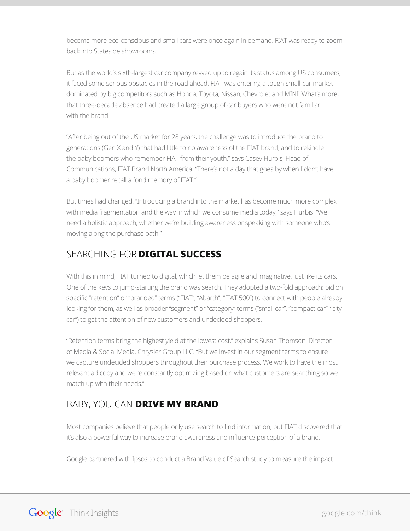become more eco-conscious and small cars were once again in demand. FIAT was ready to zoom back into Stateside showrooms.

But as the world's sixth-largest car company revved up to regain its status among US consumers, it faced some serious obstacles in the road ahead. FIAT was entering a tough small-car market dominated by big competitors such as Honda, Toyota, Nissan, Chevrolet and MINI. What's more, that three-decade absence had created a large group of car buyers who were not familiar with the brand.

"After being out of the US market for 28 years, the challenge was to introduce the brand to generations (Gen X and Y) that had little to no awareness of the FIAT brand, and to rekindle the baby boomers who remember FIAT from their youth," says Casey Hurbis, Head of Communications, FIAT Brand North America. "There's not a day that goes by when I don't have a baby boomer recall a fond memory of FIAT."

But times had changed. "Introducing a brand into the market has become much more complex with media fragmentation and the way in which we consume media today," says Hurbis. "We need a holistic approach, whether we're building awareness or speaking with someone who's moving along the purchase path."

#### Searching for **digital success**

With this in mind, FIAT turned to digital, which let them be agile and imaginative, just like its cars. One of the keys to jump-starting the brand was search. They adopted a two-fold approach: bid on specific "retention" or "branded" terms ("FIAT", "Abarth", "FIAT 500") to connect with people already looking for them, as well as broader "segment" or "category" terms ("small car", "compact car", "city car") to get the attention of new customers and undecided shoppers.

"Retention terms bring the highest yield at the lowest cost," explains Susan Thomson, Director of Media & Social Media, Chrysler Group LLC. "But we invest in our segment terms to ensure we capture undecided shoppers throughout their purchase process. We work to have the most relevant ad copy and we're constantly optimizing based on what customers are searching so we match up with their needs."

### Baby, you can **drive my brand**

Most companies believe that people only use search to find information, but FIAT discovered that it's also a powerful way to increase brand awareness and influence perception of a brand.

Google partnered with Ipsos to conduct a Brand Value of Search study to measure the impact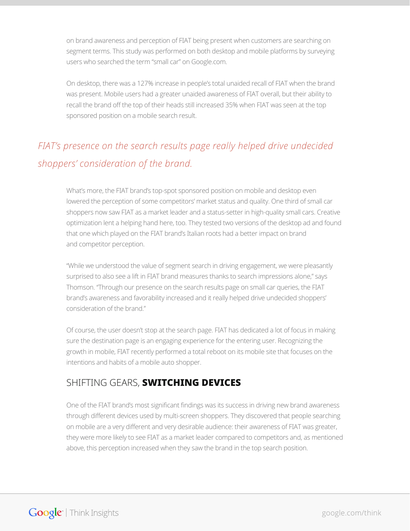on brand awareness and perception of FIAT being present when customers are searching on segment terms. This study was performed on both desktop and mobile platforms by surveying users who searched the term "small car" on Google.com.

On desktop, there was a 127% increase in people's total unaided recall of FIAT when the brand was present. Mobile users had a greater unaided awareness of FIAT overall, but their ability to recall the brand off the top of their heads still increased 35% when FIAT was seen at the top sponsored position on a mobile search result.

## *FIAT's presence on the search results page really helped drive undecided shoppers' consideration of the brand.*

What's more, the FIAT brand's top-spot sponsored position on mobile and desktop even lowered the perception of some competitors' market status and quality. One third of small car shoppers now saw FIAT as a market leader and a status-setter in high-quality small cars. Creative optimization lent a helping hand here, too. They tested two versions of the desktop ad and found that one which played on the FIAT brand's Italian roots had a better impact on brand and competitor perception.

"While we understood the value of segment search in driving engagement, we were pleasantly surprised to also see a lift in FIAT brand measures thanks to search impressions alone," says Thomson. "Through our presence on the search results page on small car queries, the FIAT brand's awareness and favorability increased and it really helped drive undecided shoppers' consideration of the brand."

Of course, the user doesn't stop at the search page. FIAT has dedicated a lot of focus in making sure the destination page is an engaging experience for the entering user. Recognizing the growth in mobile, FIAT recently performed a total reboot on its mobile site that focuses on the intentions and habits of a mobile auto shopper.

#### Shifting gears, **switching devices**

One of the FIAT brand's most significant findings was its success in driving new brand awareness through different devices used by multi-screen shoppers. They discovered that people searching on mobile are a very different and very desirable audience: their awareness of FIAT was greater, they were more likely to see FIAT as a market leader compared to competitors and, as mentioned above, this perception increased when they saw the brand in the top search position.